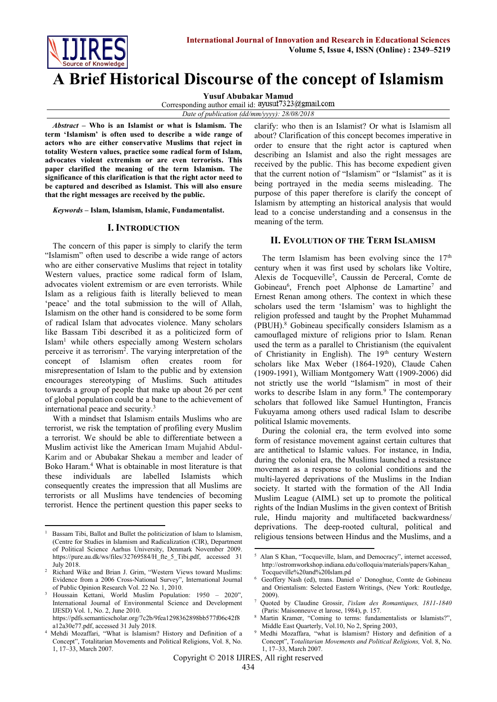

**A Brief Historical Discourse of the concept of Islamism**

**Yusuf Abubakar Mamud**

Corresponding author email id: ayusuf7323@gmail.com

*Date of publication (dd/mm/yyyy): 28/08/2018*

*Abstract* **– Who is an Islamist or what is Islamism. The term 'Islamism' is often used to describe a wide range of actors who are either conservative Muslims that reject in totality Western values, practice some radical form of Islam, advocates violent extremism or are even terrorists. This paper clarified the meaning of the term Islamism. The significance of this clarification is that the right actor need to be captured and described as Islamist. This will also ensure that the right messages are received by the public.**

*Keywords* **– Islam, Islamism, Islamic, Fundamentalist.** 

#### **I. INTRODUCTION**

The concern of this paper is simply to clarify the term "Islamism" often used to describe a wide range of actors who are either conservative Muslims that reject in totality Western values, practice some radical form of Islam, advocates violent extremism or are even terrorists. While Islam as a religious faith is literally believed to mean 'peace' and the total submission to the will of Allah, Islamism on the other hand is considered to be some form of radical Islam that advocates violence. Many scholars like Bassam Tibi described it as a politicized form of Islam<sup>1</sup> while others especially among Western scholars perceive it as terrorism<sup>2</sup>. The varying interpretation of the concept of Islamism often creates room for misrepresentation of Islam to the public and by extension encourages stereotyping of Muslims. Such attitudes towards a group of people that make up about 26 per cent of global population could be a bane to the achievement of international peace and security.<sup>3</sup>

With a mindset that Islamism entails Muslims who are terrorist, we risk the temptation of profiling every Muslim a terrorist. We should be able to differentiate between a Muslim activist like the American Imam Mujahid Abdul-Karim and or Abubakar Shekau a member and leader of Boko Haram.<sup>4</sup> What is obtainable in most literature is that these individuals are labelled Islamists which consequently creates the impression that all Muslims are terrorists or all Muslims have tendencies of becoming terrorist. Hence the pertinent question this paper seeks to

**.** 

[a12a30e77.pdf,](https://pdfs.semanticscholar.org/7c2b/9fea1298362898bb577f06c42f8a12a30e77.pdf) accessed 31 July 2018.

clarify: who then is an Islamist? Or what is Islamism all about? Clarification of this concept becomes imperative in order to ensure that the right actor is captured when describing an Islamist and also the right messages are received by the public. This has become expedient given that the current notion of "Islamism" or "Islamist" as it is being portrayed in the media seems misleading. The purpose of this paper therefore is clarify the concept of Islamism by attempting an historical analysis that would lead to a concise understanding and a consensus in the meaning of the term.

### **II. EVOLUTION OF THE TERM ISLAMISM**

The term Islamism has been evolving since the  $17<sup>th</sup>$ century when it was first used by scholars like Voltire, Alexis de Tocqueville<sup>5</sup>, Caussin de Perceral, Comte de Gobineau<sup>6</sup>, French poet Alphonse de Lamartine<sup>7</sup> and Ernest Renan among others. The context in which these scholars used the term 'Islamism' was to highlight the religion professed and taught by the Prophet Muhammad (PBUH).<sup>8</sup> Gobineau specifically considers Islamism as a camouflaged mixture of religions prior to Islam. Renan used the term as a parallel to Christianism (the equivalent of Christianity in English). The 19<sup>th</sup> century Western scholars like Max Weber (1864-1920), Claude Cahen (1909-1991), William Montgomery Watt (1909-2006) did not strictly use the world "Islamism" in most of their works to describe Islam in any form.<sup>9</sup> The contemporary scholars that followed like Samuel Huntington, Francis Fukuyama among others used radical Islam to describe political Islamic movements.

During the colonial era, the term evolved into some form of resistance movement against certain cultures that are antithetical to Islamic values. For instance, in India, during the colonial era, the Muslims launched a resistance movement as a response to colonial conditions and the multi-layered deprivations of the Muslims in the Indian society. It started with the formation of the All India Muslim League (AIML) set up to promote the political rights of the Indian Muslims in the given context of British rule, Hindu majority and multifaceted backwardness/ deprivations. The deep-rooted cultural, political and religious tensions between Hindus and the Muslims, and a

<sup>1</sup> Bassam Tibi, Ballot and Bullet the politicization of Islam to Islamism, (Centre for Studies in Islamism and Radicalization (CIR), Department of Political Science Aarhus University, Denmark November 2009. [https://pure.au.dk/ws/files/32769584/H\\_fte\\_5\\_Tibi.pdf,](https://pure.au.dk/ws/files/32769584/H_fte_5_Tibi.pdf) accessed 31 July 2018.

<sup>2</sup> Richard Wike and Brian J. Grim, "Western Views toward Muslims: Evidence from a 2006 Cross-National Survey", International Journal of Public Opinion Research Vol. 22 No. 1, 2010.

<sup>3</sup> Houssain Kettani, World Muslim Population: 1950 – 2020", International Journal of Environmental Science and Development IJESD) Vol. 1, No. 2, June 2010. [https://pdfs.semanticscholar.org/7c2b/9fea1298362898bb577f06c42f8](https://pdfs.semanticscholar.org/7c2b/9fea1298362898bb577f06c42f8a12a30e77.pdf)

<sup>4</sup> Mehdi Mozaffari, "What is Islamism? History and Definition of a Concept", Totalitarian Movements and Political Religions, Vol. 8, No. 1, 17–33, March 2007.

 5 Alan S Khan, "Tocqueville, Islam, and Democracy", internet accessed, [http://ostromworkshop.indiana.edu/colloquia/materials/papers/Kahan\\_](http://ostromworkshop.indiana.edu/colloquia/materials/papers/Kahan_Tocqueville%20and%20Islam.pd) [Tocqueville%20and%20Islam.pd](http://ostromworkshop.indiana.edu/colloquia/materials/papers/Kahan_Tocqueville%20and%20Islam.pd)

<sup>6</sup> Geoffery Nash (ed), trans. Daniel o' Donoghue, Comte de Gobineau and Orientalism: Selected Eastern Writings, (New York: Routledge, 2009).

<sup>7</sup> Quoted by Claudine Grossir, *l'islam des Romantiques, 1811-1840* (Paris: Maisonneuve et larose, 1984), p. 157.

Martin Kramer, "Coming to terms: fundamentalists or Islamists?", Middle East Quarterly, Vol.10, No 2, Spring 2003,

<sup>9</sup> Medhi Mozaffara, "what is Islamism? History and definition of a Concept", T*otalitarian Movements and Political Religions,* Vol. 8, No. 1, 17–33, March 2007.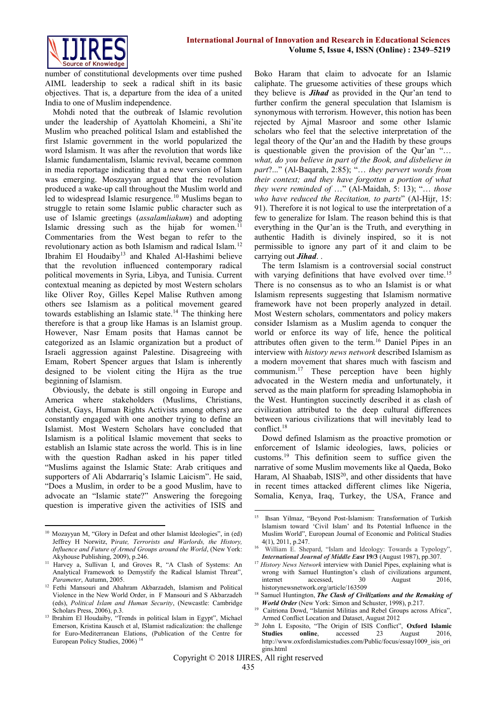

number of constitutional developments over time pushed AIML leadership to seek a radical shift in its basic objectives. That is, a departure from the idea of a united India to one of Muslim independence.

Mohdi noted that the outbreak of Islamic revolution under the leadership of Ayattolah Khomeini, a Shi'ite Muslim who preached political Islam and established the first Islamic government in the world popularized the word Islamism. It was after the revolution that words like Islamic fundamentalism, Islamic revival, became common in media reportage indicating that a new version of Islam was emerging. Moszayyan argued that the revolution produced a wake-up call throughout the Muslim world and led to widespread Islamic resurgence.<sup>10</sup> Muslims began to struggle to retain some Islamic public character such as use of Islamic greetings (*assalamliakum*) and adopting Islamic dressing such as the hijab for women.<sup>11</sup> Commentaries from the West began to refer to the revolutionary action as both Islamism and radical Islam.<sup>12</sup> Ibrahim El Houdaiby<sup>13</sup> and Khaled Al-Hashimi believe that the revolution influenced contemporary radical political movements in Syria, Libya, and Tunisia. Current contextual meaning as depicted by most Western scholars like Oliver Roy, Gilles Kepel Malise Ruthven among others see Islamism as a political movement geared towards establishing an Islamic state.<sup>14</sup> The thinking here therefore is that a group like Hamas is an Islamist group. However, Nasr Emam posits that Hamas cannot be categorized as an Islamic organization but a product of Israeli aggression against Palestine. Disagreeing with Emam, Robert Spencer argues that Islam is inherently designed to be violent citing the Hijra as the true beginning of Islamism.

Obviously, the debate is still ongoing in Europe and America where stakeholders (Muslims, Christians, Atheist, Gays, Human Rights Activists among others) are constantly engaged with one another trying to define an Islamist. Most Western Scholars have concluded that Islamism is a political Islamic movement that seeks to establish an Islamic state across the world. This is in line with the question Radhan asked in his paper titled "Muslims against the Islamic State: Arab critiques and supporters of Ali Abdarrariq's Islamic Laicism". He said, "Does a Muslim, in order to be a good Muslim, have to advocate an "Islamic state?" Answering the foregoing question is imperative given the activities of ISIS and

Boko Haram that claim to advocate for an Islamic caliphate. The gruesome activities of these groups which they believe is *Jihad* as provided in the Qur'an tend to further confirm the general speculation that Islamism is synonymous with terrorism. However, this notion has been rejected by Ajmal Masroor and some other Islamic scholars who feel that the selective interpretation of the legal theory of the Qur'an and the Hadith by these groups is questionable given the provision of the Qur'an "… *what, do you believe in part of the Book, and disbelieve in part*?..." (Al-Baqarah, 2:85); "… *they pervert words from their context; and they have forgotten a portion of what they were reminded of* …" (Al-Maidah, 5: 13); "… *those who have reduced the Recitation, to parts*" (Al-Hijr, 15: 91). Therefore it is not logical to use the interpretation of a few to generalize for Islam. The reason behind this is that everything in the Qur'an is the Truth, and everything in authentic Hadith is divinely inspired, so it is not permissible to ignore any part of it and claim to be carrying out *Jihad*. .

The term Islamism is a controversial social construct with varying definitions that have evolved over time.<sup>15</sup> There is no consensus as to who an Islamist is or what Islamism represents suggesting that Islamism normative framework have not been properly analyzed in detail. Most Western scholars, commentators and policy makers consider Islamism as a Muslim agenda to conquer the world or enforce its way of life, hence the political attributes often given to the term.<sup>16</sup> Daniel Pipes in an interview with *history news network* described Islamism as a modern movement that shares much with fascism and communism.<sup>17</sup> These perception have been highly advocated in the Western media and unfortunately, it served as the main platform for spreading Islamophobia in the West. Huntington succinctly described it as clash of civilization attributed to the deep cultural differences between various civilizations that will inevitably lead to conflict. 18

Dowd defined Islamism as the proactive promotion or enforcement of Islamic ideologies, laws, policies or customs.<sup>19</sup> This definition seem to suffice given the narrative of some Muslim movements like al Qaeda, Boko Haram, Al Shaabab,  $ISS<sup>20</sup>$ , and other dissidents that have in recent times attacked different climes like Nigeria, Somalia, Kenya, Iraq, Turkey, the USA, France and

**<sup>.</sup>** <sup>10</sup> Mozayyan M, "Glory in Defeat and other Islamist Ideologies", in (ed) Jeffrey H Norwitz, P*irate, Terrorists and Warlords, the History, Influence and Future of Armed Groups around the World*, (New York: Akyhouse Publishing, 2009), p.246.

<sup>&</sup>lt;sup>11</sup> Harvey a, Sullivan I, and Groves R, "A Clash of Systems: An Analytical Framework to Demystify the Radical Islamist Threat", *Parameter*, Autumn, 2005.

<sup>12</sup> Fethi Mansouri and Ahahram Akbarzadeh, Islamism and Political Violence in the New World Order, in F Mansouri and S Akbarzadeh (eds), *Political Islam and Human Security*, (Newcastle: Cambridge Scholars Press, 2006), p.3.

<sup>&</sup>lt;sup>13</sup> Ibrahim El Houdaiby, "Trends in political Islam in Egypt", Michael Emerson, Kristina Kausch et al, ISlamist radicalization: the challenge for Euro-Mediterranean Elations, (Publication of the Centre for European Policy Studies, 2006) <sup>14</sup>

 $\frac{1}{15}$  Ihsan Yilmaz, "Beyond Post-Islamism: Transformation of Turkish Islamism toward 'Civil Islam' and Its Potential Influence in the Muslim World", European Journal of Economic and Political Studies 4(1), 2011, p.247.

<sup>16</sup> William E. Shepard, "Islam and Ideology: Towards a Typology", *International Journal of Middle East* **19/3** (August 1987), pp.307.

<sup>&</sup>lt;sup>17</sup> History News Network interview with Daniel Pipes, explaining what is wrong with Samuel Huntington's clash of civilizations argument,<br>internet accessed. 30 August 2016. internet accessed, 30 August 2016. historynewsnetwork.org/article/163509

<sup>18</sup> Samuel Huntington, *The Clash of Civilizations and the Remaking of World Order* (New York: Simon and Schuster, 1998), p.217.

<sup>&</sup>lt;sup>19</sup> Caitriona Dowd, "Islamist Militias and Rebel Groups across Africa", Armed Conflict Location and Dataset, August 2012

<sup>20</sup> John L Esposito, "The Origin of ISIS Conflict", **Oxford Islamic Studies online**, accessed 23 August 2016, http://www.oxfordislamicstudies.com/Public/focus/essay1009\_isis\_ori gins.html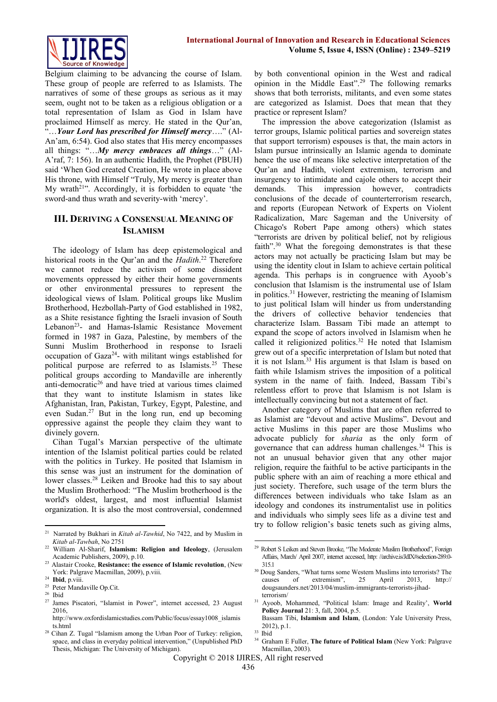

Belgium claiming to be advancing the course of Islam. These group of people are referred to as Islamists. The narratives of some of these groups as serious as it may seem, ought not to be taken as a religious obligation or a total representation of Islam as God in Islam have proclaimed Himself as mercy. He stated in the Qur'an, "…*Your Lord has prescribed for Himself mercy*…." (Al-An'am, 6:54). God also states that His mercy encompasses all things: "…*My mercy embraces all things*…" (Al-A'raf, 7: 156). In an authentic Hadith, the Prophet (PBUH) said 'When God created Creation, He wrote in place above His throne, with Himself "Truly, My mercy is greater than My wrath<sup>21"</sup>. Accordingly, it is forbidden to equate 'the sword-and thus wrath and severity-with 'mercy'.

## **III. DERIVING A CONSENSUAL MEANING OF ISLAMISM**

The ideology of Islam has deep epistemological and historical roots in the Qur'an and the *Hadith*. <sup>22</sup> Therefore we cannot reduce the activism of some dissident movements oppressed by either their home governments or other environmental pressures to represent the ideological views of Islam. Political groups like Muslim Brotherhood, Hezbollah-Party of God established in 1982, as a Shite resistance fighting the Israeli invasion of South Lebanon<sup>23</sup>- and Hamas-Islamic Resistance Movement formed in 1987 in Gaza, Palestine, by members of the Sunni Muslim Brotherhood in response to Israeli occupation of Gaza<sup>24</sup>- with militant wings established for political purpose are referred to as Islamists.<sup>25</sup> These political groups according to Mandaville are inherently anti-democratic<sup>26</sup> and have tried at various times claimed that they want to institute Islamism in states like Afghanistan, Iran, Pakistan, Turkey, Egypt, Palestine, and even Sudan.<sup>27</sup> But in the long run, end up becoming oppressive against the people they claim they want to divinely govern.

Cihan Tugal's Marxian perspective of the ultimate intention of the Islamist political parties could be related with the politics in Turkey. He posited that Islamism in this sense was just an instrument for the domination of lower classes.<sup>28</sup> Leiken and Brooke had this to say about the Muslim Brotherhood: "The Muslim brotherhood is the world's oldest, largest, and most influential Islamist organization. It is also the most controversial, condemned by both conventional opinion in the West and radical opinion in the Middle East".<sup>29</sup> The following remarks shows that both terrorists, militants, and even some states are categorized as Islamist. Does that mean that they practice or represent Islam?

The impression the above categorization (Islamist as terror groups, Islamic political parties and sovereign states that support terrorism) espouses is that, the main actors in Islam pursue intrinsically an Islamic agenda to dominate hence the use of means like selective interpretation of the Qur'an and Hadith, violent extremism, terrorism and insurgency to intimidate and cajole others to accept their demands. This impression however, contradicts conclusions of the decade of counterterrorism research, and reports (European Network of Experts on Violent Radicalization, Marc Sageman and the University of Chicago's Robert Pape among others) which states "terrorists are driven by political belief, not by religious faith".<sup>30</sup> What the foregoing demonstrates is that these actors may not actually be practicing Islam but may be using the identity clout in Islam to achieve certain political agenda. This perhaps is in congruence with Ayoob's conclusion that Islamism is the instrumental use of Islam in politics.<sup>31</sup> However, restricting the meaning of Islamism to just political Islam will hinder us from understanding the drivers of collective behavior tendencies that characterize Islam. Bassam Tibi made an attempt to expand the scope of actors involved in Islamism when he called it religionized politics.<sup>32</sup> He noted that Islamism grew out of a specific interpretation of Islam but noted that it is not Islam.<sup>33</sup> His argument is that Islam is based on faith while Islamism strives the imposition of a political system in the name of faith. Indeed, Bassam Tibi's relentless effort to prove that Islamism is not Islam is intellectually convincing but not a statement of fact.

Another category of Muslims that are often referred to as Islamist are "devout and active Muslims". Devout and active Muslims in this paper are those Muslims who advocate publicly for *sharia* as the only form of governance that can address human challenges.<sup>34</sup> This is not an unusual behavior given that any other major religion, require the faithful to be active participants in the public sphere with an aim of reaching a more ethical and just society. Therefore, such usage of the term blurs the differences between individuals who take Islam as an ideology and condones its instrumentalist use in politics and individuals who simply sees life as a divine test and try to follow religion's basic tenets such as giving alms,

**.** 

 $\frac{1}{21}$  Narrated by Bukhari in *Kitab al*-*Tawhid*, No 7422, and by Muslim in *Kitab al*-*Tawbah*, No 2751

<sup>22</sup> William Al-Sharif, **Islamism: Religion and Ideology**, (Jerusalem Academic Publishers, 2009), p.10.

<sup>23</sup> Alastair Crooke, **Resistance: the essence of Islamic revolution**, (New York: Palgrave Macmillan, 2009), p.viii.

<sup>24</sup> **Ibid**, p.viii.

<sup>&</sup>lt;sup>25</sup> Peter Mandaville Op.Cit.

 $^{26}\,$  Ibid

<sup>27</sup> James Piscatori, "Islamist in Power", internet accessed, 23 August 2016,

http://www.oxfordislamicstudies.com/Public/focus/essay1008\_islamis ts.html

<sup>&</sup>lt;sup>28</sup> Cihan Z. Tugal "Islamism among the Urban Poor of Turkey: religion, space, and class in everyday political intervention," (Unpublished PhD Thesis, Michigan: The University of Michigan).

<sup>&</sup>lt;sup>29</sup> Robert S Leiken and Steven Brooke, "The Moderate Muslim Brotherhood", Foreign Affairs, March/ April 2007, internet accessed, http: //archive.is/JdIX#selection-289.0- 315.1

<sup>&</sup>lt;sup>30</sup> Doug Sanders, "What turns some Western Muslims into terrorists? The causes of extremism", 25 April 2013, http:// causes of extremism", 25 April 2013, http:// dougsaunders.net/2013/04/muslim-immigrants-terrorists-jihadterrorism/

<sup>31</sup> Ayoob, Mohammed, "Political Islam: Image and Reality', **World Policy Journal** 21: 3, fall, 2004, p.5. Bassam Tibi, **Islamism and Islam**, (London: Yale University Press,

<sup>2012),</sup> p.1.

<sup>33</sup> Ibid

<sup>34</sup> Graham E Fuller, **The future of Political Islam** (New York: Palgrave Macmillan, 2003).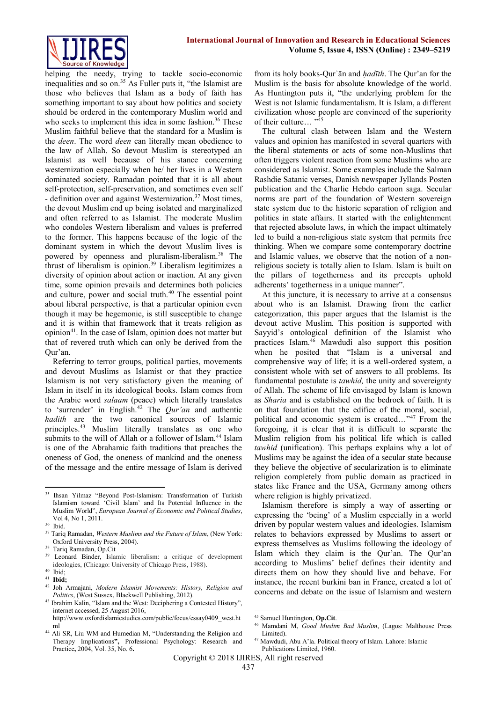

helping the needy, trying to tackle socio-economic inequalities and so on.<sup>35</sup> As Fuller puts it, "the Islamist are those who believes that Islam as a body of faith has something important to say about how politics and society should be ordered in the contemporary Muslim world and who seeks to implement this idea in some fashion.<sup>36</sup> These Muslim faithful believe that the standard for a Muslim is the *deen*. The word *deen* can literally mean obedience to the law of Allah. So devout Muslim is stereotyped an Islamist as well because of his stance concerning westernization especially when he/ her lives in a Western dominated society. Ramadan pointed that it is all about self-protection, self-preservation, and sometimes even self - definition over and against Westernization.<sup>37</sup> Most times, the devout Muslim end up being isolated and marginalized and often referred to as Islamist. The moderate Muslim who condoles Western liberalism and values is preferred to the former. This happens because of the logic of the dominant system in which the devout Muslim lives is powered by openness and pluralism-liberalism.<sup>38</sup> The thrust of liberalism is opinion.<sup>39</sup> Liberalism legitimizes a diversity of opinion about action or inaction. At any given time, some opinion prevails and determines both policies and culture, power and social truth.<sup>40</sup> The essential point about liberal perspective, is that a particular opinion even though it may be hegemonic, is still susceptible to change and it is within that framework that it treats religion as opinion<sup>41</sup>. In the case of Islam, opinion does not matter but that of revered truth which can only be derived from the Qur'an.

Referring to terror groups, political parties, movements and devout Muslims as Islamist or that they practice Islamism is not very satisfactory given the meaning of Islam in itself in its ideological books. Islam comes from the Arabic word *salaam* (peace) which literally translates to 'surrender' in English.<sup>42</sup> The *Qur'an* and authentic *hadith* are the two canonical sources of Islamic principles.<sup>43</sup> Muslim literally translates as one who submits to the will of Allah or a follower of Islam.<sup>44</sup> Islam is one of the Abrahamic faith traditions that preaches the oneness of God, the oneness of mankind and the oneness of the message and the entire message of Islam is derived

1

from its holy books-Qurʾān and *ḥadīth*. The Qur'an for the Muslim is the basis for absolute knowledge of the world. As Huntington puts it, "the underlying problem for the West is not Islamic fundamentalism. It is Islam, a different civilization whose people are convinced of the superiority of their culture… "<sup>45</sup>

The cultural clash between Islam and the Western values and opinion has manifested in several quarters with the liberal statements or acts of some non-Muslims that often triggers violent reaction from some Muslims who are considered as Islamist. Some examples include the Salman Rashdie Satanic verses, Danish newspaper Jyllands Posten publication and the Charlie Hebdo cartoon saga. Secular norms are part of the foundation of Western sovereign state system due to the historic separation of religion and politics in state affairs. It started with the enlightenment that rejected absolute laws, in which the impact ultimately led to build a non-religious state system that permits free thinking. When we compare some contemporary doctrine and Islamic values, we observe that the notion of a nonreligious society is totally alien to Islam. Islam is built on the pillars of togetherness and its precepts uphold adherents' togetherness in a unique manner".

At this juncture, it is necessary to arrive at a consensus about who is an Islamist. Drawing from the earlier categorization, this paper argues that the Islamist is the devout active Muslim. This position is supported with Sayyid's ontological definition of the Islamist who practices Islam.<sup>46</sup> Mawdudi also support this position when he posited that "Islam is a universal and comprehensive way of life; it is a well-ordered system, a consistent whole with set of answers to all problems. Its fundamental postulate is *tawhid,* the unity and sovereignty of Allah. The scheme of life envisaged by Islam is known as *Sharia* and is established on the bedrock of faith. It is on that foundation that the edifice of the moral, social, political and economic system is created…"<sup>47</sup> From the foregoing, it is clear that it is difficult to separate the Muslim religion from his political life which is called *tawhid* (unification). This perhaps explains why a lot of Muslims may be against the idea of a secular state because they believe the objective of secularization is to eliminate religion completely from public domain as practiced in states like France and the USA, Germany among others where religion is highly privatized.

Islamism therefore is simply a way of asserting or expressing the 'being' of a Muslim especially in a world driven by popular western values and ideologies. Islamism relates to behaviors expressed by Muslims to assert or express themselves as Muslims following the ideology of Islam which they claim is the Qur'an. The Qur'an according to Muslims' belief defines their identity and directs them on how they should live and behave. For instance, the recent burkini ban in France, created a lot of concerns and debate on the issue of Islamism and western

 $\overline{a}$ 

<sup>35</sup> Ihsan Yilmaz "Beyond Post-Islamism: Transformation of Turkish Islamism toward 'Civil Islam' and Its Potential Influence in the Muslim World", *European Journal of Economic and Political Studies*, Vol 4, No 1, 2011.

<sup>36</sup> Ibid.

<sup>37</sup> Tariq Ramadan, *Western Muslims and the Future of Islam*, (New York: Oxford University Press, 2004).

 $38$  Tariq Ramadan, Op.Cit

Leonard Binder, Islamic liberalism: a critique of development ideologies, **(**Chicago: University of Chicago Press, 1988).

<sup>40</sup> Ibid;

<sup>41</sup> **Ibid;**

<sup>42</sup> Joh Armajani, *Modern Islamist Movements: History, Religion and Politics*, (West Sussex, Blackwell Publishing, 2012).

<sup>43</sup> Ibrahim Kalin, "Islam and the West: Deciphering a Contested History", internet accessed, 25 August 2016,

http://www.oxfordislamicstudies.com/public/focus/essay0409\_west.ht ml

<sup>&</sup>lt;sup>44</sup> Ali SR, Liu WM and Humedian M, "Understanding the Religion and Therapy Implications**",** Professional Psychology: Research and Practice**,** 2004, Vol. 35, No. 6**.**

<sup>45</sup> Samuel Huntington, **Op.Cit**.

<sup>46</sup> Mamdani M, *Good Muslim Bad Muslim*, (Lagos: Malthouse Press Limited).

<sup>47</sup> Mawdudi, Abu A'la. Political theory of Islam. Lahore: Islamic Publications Limited, 1960.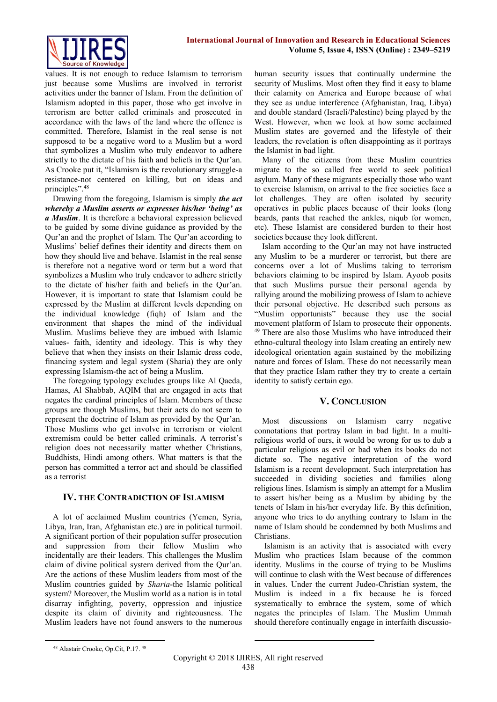values. It is not enough to reduce Islamism to terrorism just because some Muslims are involved in terrorist activities under the banner of Islam. From the definition of Islamism adopted in this paper, those who get involve in terrorism are better called criminals and prosecuted in accordance with the laws of the land where the offence is committed. Therefore, Islamist in the real sense is not supposed to be a negative word to a Muslim but a word that symbolizes a Muslim who truly endeavor to adhere strictly to the dictate of his faith and beliefs in the Qur'an. As Crooke put it, "Islamism is the revolutionary struggle-a resistance-not centered on killing, but on ideas and principles".<sup>48</sup>

Drawing from the foregoing, Islamism is simply *the act whereby a Muslim asserts or expresses his/her 'being' as a Muslim*. It is therefore a behavioral expression believed to be guided by some divine guidance as provided by the Qur'an and the prophet of Islam. The Qur'an according to Muslims' belief defines their identity and directs them on how they should live and behave. Islamist in the real sense is therefore not a negative word or term but a word that symbolizes a Muslim who truly endeavor to adhere strictly to the dictate of his/her faith and beliefs in the Qur'an. However, it is important to state that Islamism could be expressed by the Muslim at different levels depending on the individual knowledge (fiqh) of Islam and the environment that shapes the mind of the individual Muslim. Muslims believe they are imbued with Islamic values- faith, identity and ideology. This is why they believe that when they insists on their Islamic dress code, financing system and legal system (Sharia) they are only expressing Islamism-the act of being a Muslim.

The foregoing typology excludes groups like Al Qaeda, Hamas, Al Shabbab, AQIM that are engaged in acts that negates the cardinal principles of Islam. Members of these groups are though Muslims, but their acts do not seem to represent the doctrine of Islam as provided by the Qur'an. Those Muslims who get involve in terrorism or violent extremism could be better called criminals. A terrorist's religion does not necessarily matter whether Christians, Buddhists, Hindi among others. What matters is that the person has committed a terror act and should be classified as a terrorist

# **IV. THE CONTRADICTION OF ISLAMISM**

A lot of acclaimed Muslim countries (Yemen, Syria, Libya, Iran, Iran, Afghanistan etc.) are in political turmoil. A significant portion of their population suffer prosecution and suppression from their fellow Muslim who incidentally are their leaders. This challenges the Muslim claim of divine political system derived from the Qur'an. Are the actions of these Muslim leaders from most of the Muslim countries guided by *Sharia*-the Islamic political system? Moreover, the Muslim world as a nation is in total disarray infighting, poverty, oppression and injustice despite its claim of divinity and righteousness. The Muslim leaders have not found answers to the numerous

human security issues that continually undermine the security of Muslims. Most often they find it easy to blame their calamity on America and Europe because of what they see as undue interference (Afghanistan, Iraq, Libya) and double standard (Israeli/Palestine) being played by the West. However, when we look at how some acclaimed Muslim states are governed and the lifestyle of their leaders, the revelation is often disappointing as it portrays the Islamist in bad light.

Many of the citizens from these Muslim countries migrate to the so called free world to seek political asylum. Many of these migrants especially those who want to exercise Islamism, on arrival to the free societies face a lot challenges. They are often isolated by security operatives in public places because of their looks (long beards, pants that reached the ankles, niqub for women, etc). These Islamist are considered burden to their host societies because they look different.

Islam according to the Qur'an may not have instructed any Muslim to be a murderer or terrorist, but there are concerns over a lot of Muslims taking to terrorism behaviors claiming to be inspired by Islam. Ayoob posits that such Muslims pursue their personal agenda by rallying around the mobilizing prowess of Islam to achieve their personal objective. He described such persons as "Muslim opportunists" because they use the social movement platform of Islam to prosecute their opponents. <sup>49</sup> There are also those Muslims who have introduced their ethno-cultural theology into Islam creating an entirely new ideological orientation again sustained by the mobilizing nature and forces of Islam. These do not necessarily mean that they practice Islam rather they try to create a certain identity to satisfy certain ego.

# **V. CONCLUSION**

Most discussions on Islamism carry negative connotations that portray Islam in bad light. In a multireligious world of ours, it would be wrong for us to dub a particular religious as evil or bad when its books do not dictate so. The negative interpretation of the word Islamism is a recent development. Such interpretation has succeeded in dividing societies and families along religious lines. Islamism is simply an attempt for a Muslim to assert his/her being as a Muslim by abiding by the tenets of Islam in his/her everyday life. By this definition, anyone who tries to do anything contrary to Islam in the name of Islam should be condemned by both Muslims and Christians.

Islamism is an activity that is associated with every Muslim who practices Islam because of the common identity. Muslims in the course of trying to be Muslims will continue to clash with the West because of differences in values. Under the current Judeo-Christian system, the Muslim is indeed in a fix because he is forced systematically to embrace the system, some of which negates the principles of Islam. The Muslim Ummah should therefore continually engage in interfaith discussio-

**.** 

**.** 

<sup>48</sup> Alastair Crooke, Op.Cit, P.17. <sup>48</sup>